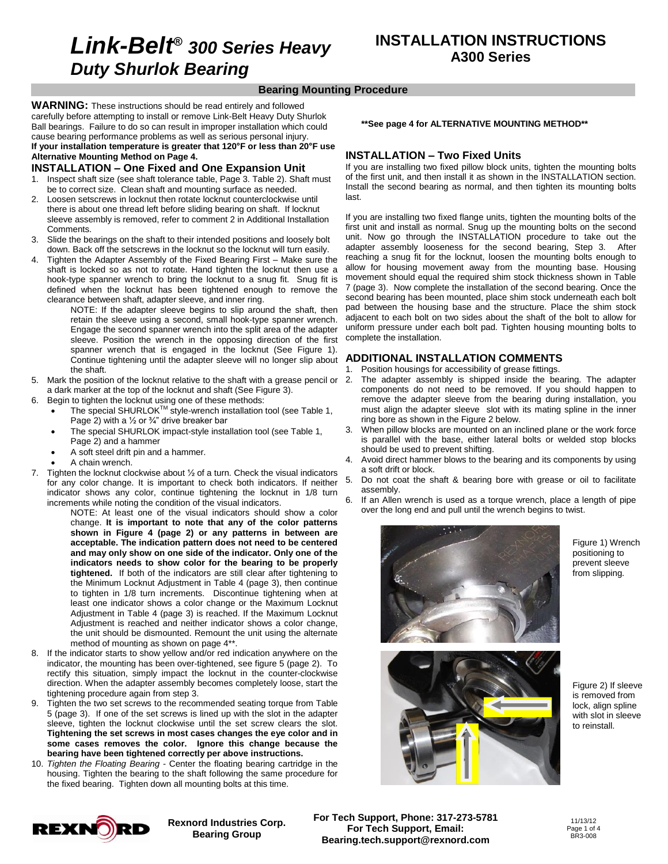# **Link-Belt***<sup>Æ</sup>* **<sup>300</sup> Series Heavy Duty Shurlok Bearing**

#### **Bearing Mounting Procedure**

**WARNING:** These instructions should be read entirely and followed carefully before attempting to install or remove Link-Belt Heavy Duty Shurlok Ball bearings. Failure to do so can result in improper installation which could<br>cause bearing performance problems as well as serious personal injury.<br>If your installation temperature is greater that 120°F or less than 20° cause bearing performance problems as well as serious personal injury. **Alternative Mounting Method on Page 4.** If your installation temperature is greater that 120°F or less than 20°F use<br>Alternative Mounting Method on Page 4.<br>**INSTALLATION – One Fixed and One Expansion Unit** 

- 1. Inspect shaft size (see shaft tolerance table, Page 3. Table 2). Shaft must be to correct size. Clean shaft and mounting surface as needed.
- 2. Loosen setscrews in locknut then rotate locknut counterclockwise until there is about one thread left before sliding bearing on shaft. If locknut sleeve assembly is removed, refer to comment 2 in Additional Installation Comments.
- 3. Slide the bearings on the shaft to their intended positions and loosely bolt down. Back off the setscrews in the locknut so the locknut will turn easily.
- Tighten the Adapter Assembly of the Fixed Bearing First Make sure the shaft is locked so as not to rotate. Hand tighten the locknut then use a hook-type spanner wrench to bring the locknut to a snug fit. Snug fit is defined when the locknut has been tightened enough to remove the clearance between shaft, adapter sleeve, and inner ring.

NOTE: If the adapter sleeve begins to slip around the shaft, then retain the sleeve using a second, small hook-type spanner wrench. Engage the second spanner wrench into the split area of the adapter sleeve. Position the wrench in the opposing direction of the first spanner wrench that is engaged in the locknut (See Figure 1). Continue tightening until the adapter sleeve will no longer slip about the shaft.

- 5. Mark the position of the locknut relative to the shaft with a grease pencil or a dark marker at the top of the locknut and shaft (See Figure 3).
- 6. Begin to tighten the locknut using one of these methods:
- The special SHURLOK<sup>™</sup> style-wrench installation tool (see Table 1, Begin to tighten the locknut using one of these meth<br>
• The special SHURLOK<sup>TM</sup> style-wrench installa<br>
Page 2) with a ½ or ¾" drive breaker bar
	- The special SHURLOK impact-style installation tool (see Table 1,  $\frac{3}{2}$ <br>Page 2) and a hammer Page 2) and a hammer<br>A soft steel drift pin and a hammer.
	-
	- A chain wrench.
- 7. Tighten the locknut clockwise about  $\frac{1}{2}$  of a turn. Check the visual indicators for any color change it is important to check both indicators if neither 5. for any color change. It is important to check both indicators. If neither indicator shows any color, continue tightening the locknut in 1/8 turn<br>increased while action the condition of the circular limitation increments while noting the condition of the visual indicators.

NOTE: At least one of the visual indicators should show a color change. **It is important to note that any of the color patterns shown in Figure 4 (page 2) or any patterns in between are acceptable. The indication pattern does not need to be centered and may only show on one side of the indicator. Only one of the indicators needs to show colorfor the bearing to be properly tightened.** If both of the indicators are still clear after tightening to the Minimum Locknut Adjustment in Table 4 (page 3), then continue to tighten in 1/8 turn increments. Discontinue tightening when at least one indicator shows a color change or the Maximum Locknut Adjustment in Table 4 (page 3) is reached. If the Maximum Locknut Adjustment is reached and neither indicator shows a color change, the unit should be dismounted. Remount the unit using the alternate method of mounting as shown on page 4\*\*.

- 8. If the indicator starts to show yellow and/or red indication anywhere on the indicator, the mounting has been over-tightened, see figure 5 (page 2). To rectify this situation, simply impact the locknut in the counter-clockwise direction. When the adapter assembly becomes completely loose, start the tightening procedure again from step 3.
- 9. Tighten the two set screws to the recommended seating torque from Table 5 (page 3). If one of the set screws is lined up with the slot in the adapter sleeve, tighten the locknut clockwise until the set screw clears the slot. **Tightening the set screws in most cases changes the eye color and in some cases removes the color. Ignore this change because the bearing have been tightened correctly per above instructions.**
- 10. Tighten the Floating Bearing Center the floating bearing cartridge in the housing. Tighten the bearing to the shaft following the same procedure for the fixed bearing. Tighten down all mounting bolts at this time.

#### **\*\*See page 4 for ALTERNATIVE MOUNTING METHOD\*\***

#### **INSTALLATION – Two Fixed Units**

If you are installing two fixed pillow block units, tighten the mounting bolts of the first unit, and then install it as shown in the INSTALLATION section. Install the second bearing as normal, and then tighten its mounting bolts last.

If you are installing two fixed flange units, tighten the mounting bolts of the first unit and install as normal. Snug up the mounting bolts on the second unit. Now go through the INSTALLATION procedure to take out the adapter assembly looseness for the second bearing, Step 3. After reaching a snug fit for the locknut, loosen the mounting bolts enough to allow for housing movement away from the mounting base. Housing movement should equal the required shim stock thickness shown in Table 7 (page 3). Now complete the installation of the second bearing. Once the second bearing has been mounted, place shim stock underneath each bolt pad between the housing base and the structure. Place the shim stock adjacent to each bolt on two sides about the shaft of the bolt to allow for uniform pressure under each bolt pad. Tighten housing mounting bolts to complete the installation.

#### **ADDITIONAL INSTALLATION COMMENTS**

- 1. Position housings for accessibility of grease fittings.
- The adapter assembly is shipped inside the bearing. The adapter components do not need to be removed. If you should happen to remove the adapter sleeve from the bearing during installation, you must align the adapter sleeve slot with its mating spline in the inner ring bore as shown in the Figure 2 below.
- 3. When pillow blocks are mounted on an inclined plane or the work force is parallel with the base, either lateral bolts or welded stop blocks should be used to prevent shifting.
- Avoid direct hammer blows to the bearing and its components by using a soft drift or block.
- Do not coat the shaft & bearing bore with grease or oil to facilitate assembly.
- If an Allen wrench is used as a torque wrench, place a length of pipe over the long end and pull until the wrench begins to twist.



Figure 1) Wrench positioning to prevent sleeve from slipping.



Figure 2) If sleeve is removed from lock, align spline with slot in sleeve to reinstall.



**Rexnord Industries Corp. Bearing Group**

**For Tech Support, Phone: 317-273-5781 For Tech Support, Email: [Bearing.tech.support@rexnord.com](mailto:Bearing.tech.support@rexnord.com)**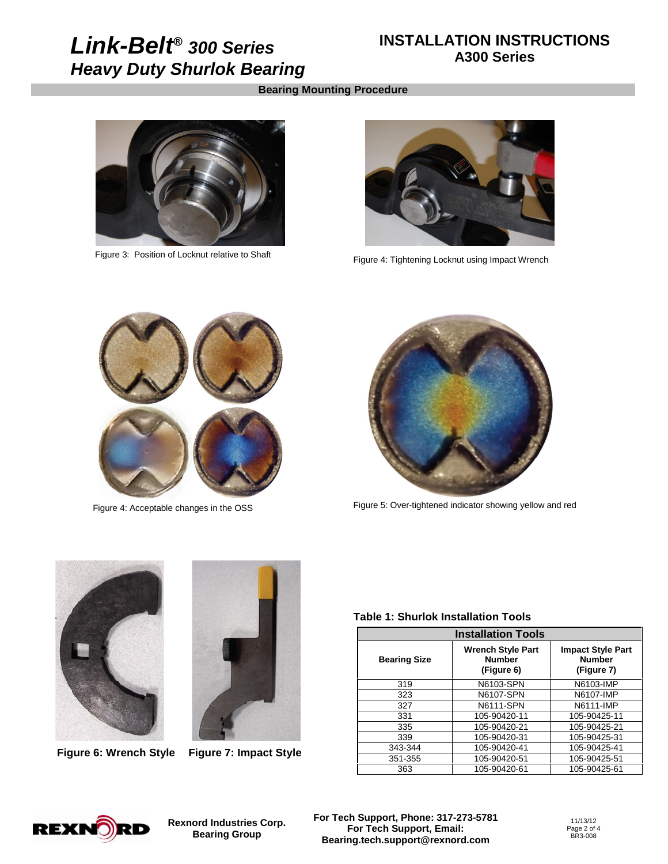# **Link-Belt***<sup>Æ</sup>* **<sup>300</sup> Series Heavy Duty Shurlok Bearing**

### **INSTALLATION INSTRUCTIONS A300 Series**

#### **Bearing Mounting Procedure**



Figure 3: Position of Locknut relative to Shaft



Figure 4: Tightening Locknut using Impact Wrench



Figure 4: Acceptable changes in the OSS



Figure 5: Over-tightened indicator showing yellow and red





**Figure 6: Wrench Style Figure 7: Impact Style**

#### **Table 1: Shurlok Installation Tools**

| <b>Installation Tools</b> |                                                         |                                                         |
|---------------------------|---------------------------------------------------------|---------------------------------------------------------|
| <b>Bearing Size</b>       | <b>Wrench Style Part</b><br><b>Number</b><br>(Figure 6) | <b>Impact Style Part</b><br><b>Number</b><br>(Figure 7) |
| 319                       | N6103-SPN                                               | N6103-IMP                                               |
| 323                       | N6107-SPN                                               | N6107-IMP                                               |
| 327                       | N6111-SPN                                               | N6111-IMP                                               |
| 331                       | 105-90420-11                                            | 105-90425-11                                            |
| 335                       | 105-90420-21                                            | 105-90425-21                                            |
| 339                       | 105-90420-31                                            | 105-90425-31                                            |
| 343-344                   | 105-90420-41                                            | 105-90425-41                                            |
| 351-355                   | 105-90420-51                                            | 105-90425-51                                            |
| 363                       | 105-90420-61                                            | 105-90425-61                                            |



**Rexnord Industries Corp. Bearing Group**

**For Tech Support, Phone: 317-273-5781 For Tech Support, Email: [Bearing.tech.support@rexnord.com](mailto:Bearing.tech.support@rexnord.com)**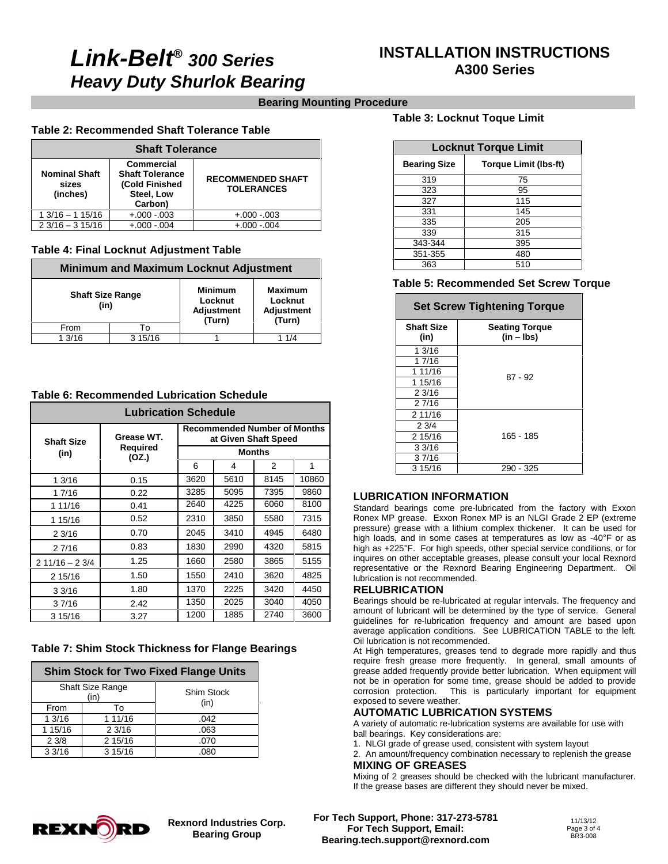# **Link-Belt***<sup>Æ</sup>* **<sup>300</sup> Series Heavy Duty Shurlok Bearing**

## **INSTALLATION INSTRUCTIONS A300 Series**

### **Bearing Mounting Procedure**

### **Table 2: Recommended Shaft Tolerance Table**

| <b>Shaft Tolerance</b>                    |                                                                                        |                                               |
|-------------------------------------------|----------------------------------------------------------------------------------------|-----------------------------------------------|
| <b>Nominal Shaft</b><br>sizes<br>(inches) | <b>Commercial</b><br><b>Shaft Tolerance</b><br>(Cold Finished<br>Steel, Low<br>Carbon) | <b>RECOMMENDED SHAFT</b><br><b>TOLERANCES</b> |
| $13/16 - 115/16$                          | $+.000-.003$                                                                           | $+.000-.003$                                  |
| $23/16 - 315/16$                          | $+.000-.004$                                                                           | $+.000-.004$                                  |

### **Table 4: Final Locknut Adjustment Table**

| <b>Minimum and Maximum Locknut Adjustment</b> |                                 |        |                                                          |  |
|-----------------------------------------------|---------------------------------|--------|----------------------------------------------------------|--|
|                                               | <b>Shaft Size Range</b><br>(in) |        | <b>Maximum</b><br>Locknut<br><b>Adjustment</b><br>(Turn) |  |
| From                                          | Т٥                              | (Turn) |                                                          |  |
| 13/16                                         | 315/16                          |        | 1 1/4                                                    |  |

#### **Table 6: Recommended Lubrication Schedule**

| <b>Lubrication Schedule</b> |                                 |                                                             |      |               |       |
|-----------------------------|---------------------------------|-------------------------------------------------------------|------|---------------|-------|
| <b>Shaft Size</b><br>(in)   | Grease WT.<br>Required<br>(OZ.) | <b>Recommended Number of Months</b><br>at Given Shaft Speed |      |               |       |
|                             |                                 | <b>Months</b>                                               |      |               |       |
|                             |                                 | 6                                                           | 4    | $\mathcal{P}$ | 1     |
| 13/16                       | 0.15                            | 3620                                                        | 5610 | 8145          | 10860 |
| 1 7/16                      | 0.22                            | 3285                                                        | 5095 | 7395          | 9860  |
| 1 11/16                     | 0.41                            | 2640                                                        | 4225 | 6060          | 8100  |
| 1 15/16                     | 0.52                            | 2310                                                        | 3850 | 5580          | 7315  |
| 23/16                       | 0.70                            | 2045                                                        | 3410 | 4945          | 6480  |
| 2 7/16                      | 0.83                            | 1830                                                        | 2990 | 4320          | 5815  |
| $211/16 - 23/4$             | 1.25                            | 1660                                                        | 2580 | 3865          | 5155  |
| 2 15/16                     | 1.50                            | 1550                                                        | 2410 | 3620          | 4825  |
| 33/16                       | 1.80                            | 1370                                                        | 2225 | 3420          | 4450  |
| 37/16                       | 2.42                            | 1350                                                        | 2025 | 3040          | 4050  |
| 3 15/16                     | 3.27                            | 1200                                                        | 1885 | 2740          | 3600  |

### **Table 7: Shim Stock Thickness for Flange Bearings**

#### **Shim Stock for Two Fixed Flange Units**

| <b>Shaft Size Range</b><br>(in) |         | Shim Stock<br>(in) |
|---------------------------------|---------|--------------------|
| From                            | То      |                    |
| 13/16                           | 1 11/16 | .042               |
| 1 15/16                         | 23/16   | .063               |
| 23/8                            | 2 15/16 | .070               |
| 33/16                           | 3 15/16 | .080               |

#### **Table 3: Locknut Toque Limit**

| <b>Locknut Torque Limit</b> |                              |  |  |
|-----------------------------|------------------------------|--|--|
| <b>Bearing Size</b>         | <b>Torque Limit (Ibs-ft)</b> |  |  |
| 319                         | 75                           |  |  |
| 323                         | 95                           |  |  |
| 327                         | 115                          |  |  |
| 331                         | 145                          |  |  |
| 335                         | 205                          |  |  |
| 339                         | 315                          |  |  |
| 343-344                     | 395                          |  |  |
| 351-355                     | 480                          |  |  |
| 363                         | 510                          |  |  |

#### **Table 5: Recommended Set Screw Torque**

| <b>Set Screw Tightening Torque</b> |                                       |  |
|------------------------------------|---------------------------------------|--|
| <b>Shaft Size</b><br>(in)          | <b>Seating Torque</b><br>$(in - lbs)$ |  |
| 1 3/16                             |                                       |  |
| 1 7/16                             | $87 - 92$                             |  |
| 1 11/16                            |                                       |  |
| 1 15/16                            |                                       |  |
| 2 3/16                             |                                       |  |
| 27/16                              |                                       |  |
| 2 11/16                            |                                       |  |
| 23/4                               |                                       |  |
| 2 15/16                            | 165 - 185                             |  |
| 33/16                              |                                       |  |
| 37/16                              |                                       |  |
| 3 15/16                            | 290 - 325                             |  |

#### **LUBRICATION INFORMATION**

Standard bearings come pre-lubricated from the factory with Exxon Ronex MP grease. Exxon Ronex MP is an NLGI Grade 2 EP (extreme Ronex MP grease. Exxon Ronex MP is an NLGI Grade 2 EP (extreme pressure) grease with a lithium complex thickener. It can be used for high loads, and in some cases at temperatures as low as -40°F or as heressure) grease with a lithium complex thickener. It can be used for high loads, and in some cases at temperatures as low as -40°F or as high as +225°F. For high speeds, other special service conditions, or for inquires on other acceptable greases, please consult your local Rexnord representative or the Rexnord Bearing Engineering Department. Oil lubrication is not recommended.

#### **RELUBRICATION**

Bearings should be re-lubricated at regular intervals. The frequency and amount of lubricant will be determined by the type of service. General guidelines for re-lubrication frequency and amount are based upon average application conditions. See LUBRICATION TABLE to the left.<br>Oil lubrication is not recommended.

At High temperatures, greases tend to degrade more rapidly and thus require fresh grease more frequently. In general, small amounts of grease added frequently provide better lubrication. When equipment will not be in operation for some time, grease should be added to provide corrosion protection. This is particularly important for equipment This is particularly important for equipment exposed to severe weather.

#### **AUTOMATIC LUBRICATION SYSTEMS**

A variety of automatic re-lubrication systems are available for use with ball bearings. Key considerations are:

1. NLGI grade of grease used, consistent with system layout

2. An amount/frequency combination necessary to replenish the grease **MIXING OF GREASES**

Mixing of 2 greases should be checked with the lubricant manufacturer. If the grease bases are different they should never be mixed.



**Rexnord Industries Corp. Bearing Group**

**For Tech Support, Phone: 317-273-5781 For Tech Support, Email: [Bearing.tech.support@rexnord.com](mailto:Bearing.tech.support@rexnord.com)**